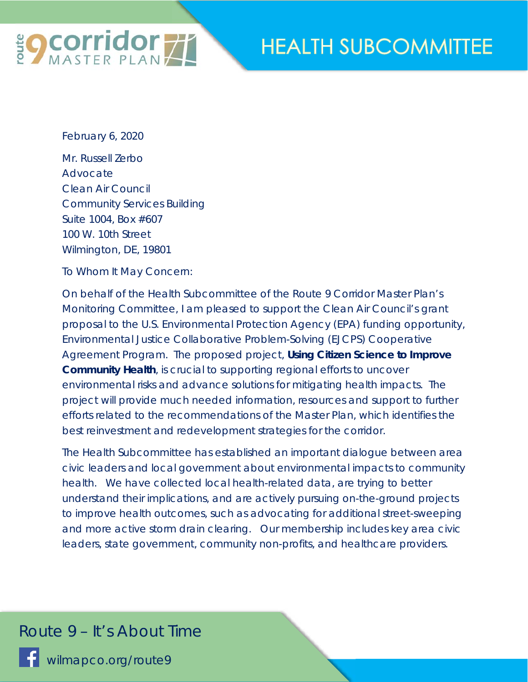

## **HEALTH SUBCOMMITTEE**

February 6, 2020

Mr. Russell Zerbo Advocate Clean Air Council Community Services Building Suite 1004, Box #607 100 W. 10th Street Wilmington, DE, 19801

To Whom It May Concern:

On behalf of the Health Subcommittee of the Route 9 Corridor Master Plan's Monitoring Committee, I am pleased to support the Clean Air Council's grant proposal to the U.S. Environmental Protection Agency (EPA) funding opportunity, Environmental Justice Collaborative Problem-Solving (EJCPS) Cooperative Agreement Program. The proposed project, **Using Citizen Science to Improve Community Health**, is crucial to supporting regional efforts to uncover environmental risks and advance solutions for mitigating health impacts. The project will provide much needed information, resources and support to further efforts related to the recommendations of the Master Plan, which identifies the best reinvestment and redevelopment strategies for the corridor.

The Health Subcommittee has established an important dialogue between area civic leaders and local government about environmental impacts to community health. We have collected local health-related data, are trying to better understand their implications, and are actively pursuing on-the-ground projects to improve health outcomes, such as advocating for additional street-sweeping and more active storm drain clearing. Our membership includes key area civic leaders, state government, community non-profits, and healthcare providers.

## *Route 9 – It's About Time*

wilmapco.org/route9